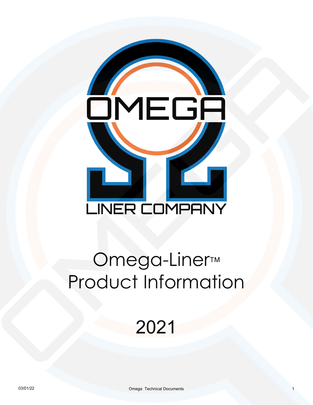# <u>OMEGA</u> L **LINER COMPANY**

# Omega-Liner™ Product Information

# 2021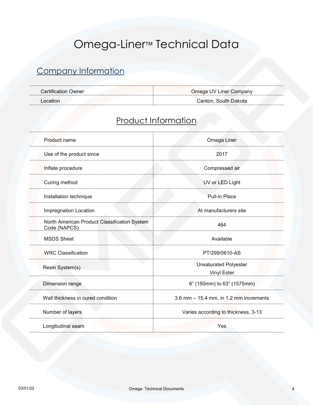# Omega-Liner<sup>™</sup> Technical Data

#### Company Information

| Certification |                          |
|---------------|--------------------------|
| Owner         | Omega UV Liner Company   |
|               |                          |
| ncation.      | . South Dakota<br>.anton |

#### Product Information

| Product name                                                 | Omega Liner                                 |
|--------------------------------------------------------------|---------------------------------------------|
| Use of the product since                                     | 2017                                        |
| Inflate procedure                                            | Compressed air                              |
| Curing method                                                | UV or LED Light                             |
| Installation technique                                       | <b>Pull-in Place</b>                        |
| Impregnation Location                                        | At manufacturers site                       |
| North American Product Classification System<br>Code (NAPCS) | 464                                         |
| <b>MSDS Sheet</b>                                            | Available                                   |
| <b>WRC Classification</b>                                    | PT/299/0610-AS                              |
| Resin System(s)                                              | <b>Unsaturated Polyester</b><br>Vinyl Ester |
| Dimension range                                              | 6" (150mm) to 63" (1575mm)                  |
| Wall thickness in cured condition                            | $3.6$ mm $- 15.4$ mm, in 1.2 mm increments  |
| Number of layers                                             | Varies according to thickness, 3-13         |
| Longitudinal seam                                            | Yes                                         |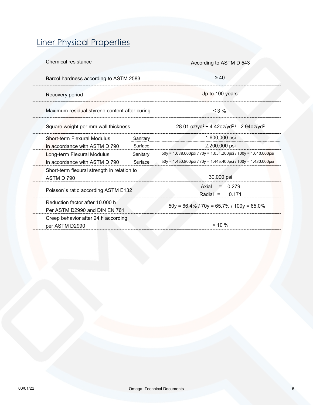# Liner Physical Properties

| Chemical resistance                                              |          | According to ASTM D 543                                                      |
|------------------------------------------------------------------|----------|------------------------------------------------------------------------------|
| Barcol hardness according to ASTM 2583                           |          | $\geq 40$                                                                    |
| Recovery period                                                  |          | Up to 100 years                                                              |
| Maximum residual styrene content after curing                    |          | $\leq$ 3 %                                                                   |
| Square weight per mm wall thickness                              |          | 28.01 oz/yd <sup>2</sup> + 4.42oz/yd <sup>2</sup> / - 2.94oz/yd <sup>2</sup> |
| Short-term Flexural Modulus                                      | Sanitary | 1,600,000 psi                                                                |
| In accordance with ASTM D 790                                    | Surface  | 2,200,000 psi                                                                |
| Long-term Flexural Modulus                                       | Sanitary | 50y = 1,088,000psi / 70y = 1,051,200psi / 100y = 1,040,000psi                |
| In accordance with ASTM D 790                                    | Surface  | $50y = 1,460,800$ psi / 70y = 1,445,400psi / 100y = 1,430,000psi             |
| Short-term flexural strength in relation to<br>ASTM D 790        |          | 30,000 psi                                                                   |
| Poisson's ratio according ASTM E132                              |          | 0.279<br>Axial<br>$=$<br>$Radial =$<br>0.171                                 |
| Reduction factor after 10,000 h<br>Per ASTM D2990 and DIN EN 761 |          | $50y = 66.4\%$ / $70y = 65.7\%$ / $100y = 65.0\%$                            |
| Creep behavior after 24 h according<br>per ASTM D2990            |          | $< 10 \%$                                                                    |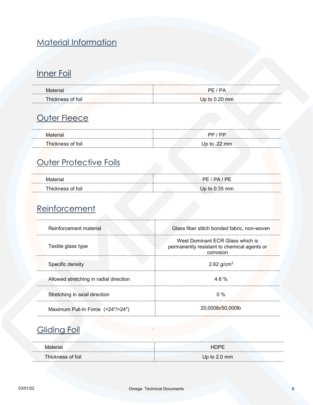#### Material Information

#### Inner Foil

| OШ |  |
|----|--|

## **Outer Fleece**

|                   | PP         |
|-------------------|------------|
| Thickness of foil | ∈to .22 mm |

#### Outer Protective Foils

|                                  | DE<br>PΔ      |
|----------------------------------|---------------|
| <sup>-</sup> hickness<br>of foil | Up to 0.35 mm |

#### Reinforcement

| Reinforcement material                 | Glass fiber stitch bonded fabric, non-woven                                                  |
|----------------------------------------|----------------------------------------------------------------------------------------------|
| Textile glass type                     | West Dominant ECR Glass which is<br>permanently resistant to chemical agents or<br>corrosion |
| Specific density                       | 2.62 $g/cm^{3}$                                                                              |
| Allowed stretching in radial direction | $4.6\%$                                                                                      |
| Stretching in axial direction          | $0\%$                                                                                        |
| Maximum Pull-In Force (<24"/>24")      | 20,000lb/50,000lb                                                                            |

#### **Gliding Foil**

| <b>hickness</b><br>of foil | In to 2<br>mm |
|----------------------------|---------------|